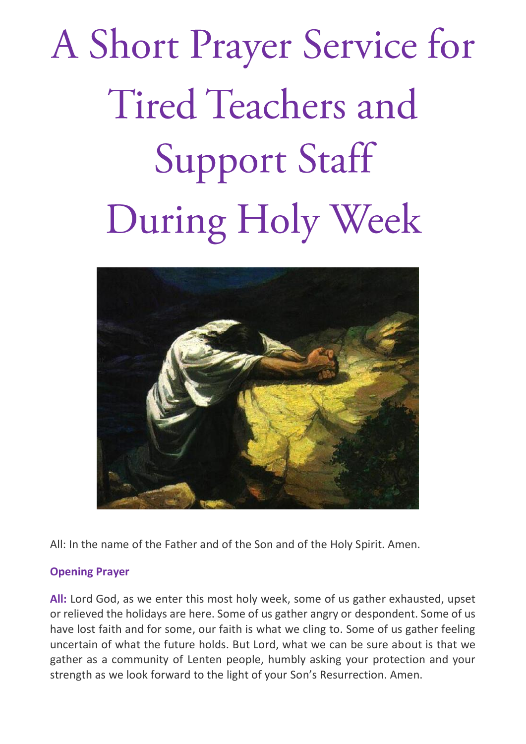# A Short Prayer Service for **Tired Teachers and Support Staff** During Holy Week



All: In the name of the Father and of the Son and of the Holy Spirit. Amen.

## **Opening Prayer**

**All:** Lord God, as we enter this most holy week, some of us gather exhausted, upset or relieved the holidays are here. Some of us gather angry or despondent. Some of us have lost faith and for some, our faith is what we cling to. Some of us gather feeling uncertain of what the future holds. But Lord, what we can be sure about is that we gather as a community of Lenten people, humbly asking your protection and your strength as we look forward to the light of your Son's Resurrection. Amen.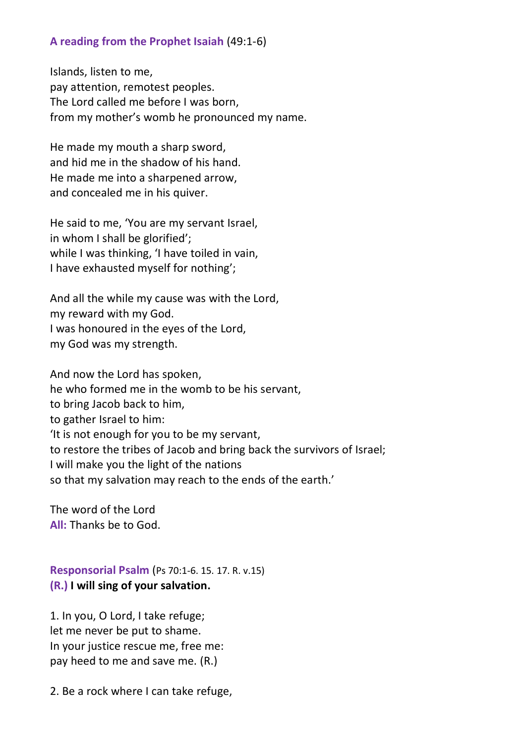### **A reading from the Prophet Isaiah** (49:1-6)

Islands, listen to me, pay attention, remotest peoples. The Lord called me before I was born, from my mother's womb he pronounced my name.

He made my mouth a sharp sword, and hid me in the shadow of his hand. He made me into a sharpened arrow, and concealed me in his quiver.

He said to me, 'You are my servant Israel, in whom I shall be glorified'; while I was thinking, 'I have toiled in vain, I have exhausted myself for nothing';

And all the while my cause was with the Lord, my reward with my God. I was honoured in the eyes of the Lord, my God was my strength.

And now the Lord has spoken, he who formed me in the womb to be his servant, to bring Jacob back to him, to gather Israel to him: 'It is not enough for you to be my servant, to restore the tribes of Jacob and bring back the survivors of Israel; I will make you the light of the nations so that my salvation may reach to the ends of the earth.'

The word of the Lord **All:** Thanks be to God.

**Responsorial Psalm** ([Ps 70:1-6. 15. 17. R. v.15\)](https://www.liturgyhelp.com/ritual/lectionary/LectionaryListPsalm%7Cpsm) **(R.) I will sing of your salvation.**

1. In you, O Lord, I take refuge; let me never be put to shame. In your justice rescue me, free me: pay heed to me and save me. (R.)

2. Be a rock where I can take refuge,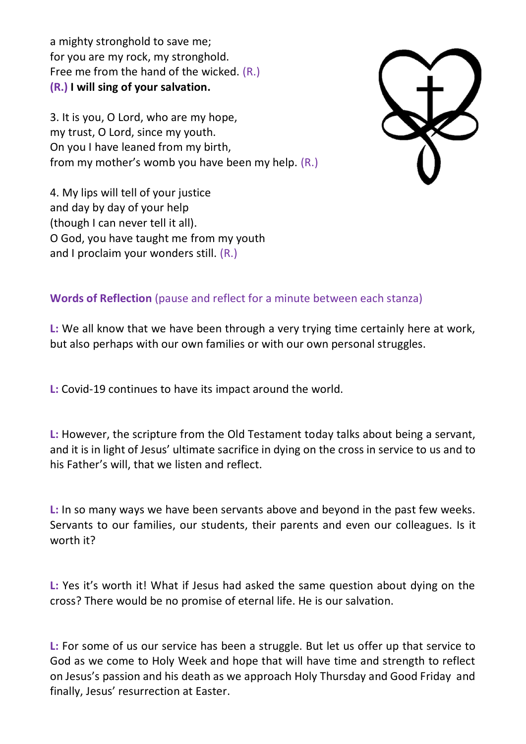a mighty stronghold to save me; for you are my rock, my stronghold. Free me from the hand of the wicked. (R.) **(R.) I will sing of your salvation.**

3. It is you, O Lord, who are my hope, my trust, O Lord, since my youth. On you I have leaned from my birth, from my mother's womb you have been my help. (R.)



4. My lips will tell of your justice and day by day of your help (though I can never tell it all). O God, you have taught me from my youth and I proclaim your wonders still. (R.)

## **Words of Reflection** (pause and reflect for a minute between each stanza)

**L:** We all know that we have been through a very trying time certainly here at work, but also perhaps with our own families or with our own personal struggles.

**L:** Covid-19 continues to have its impact around the world.

**L:** However, the scripture from the Old Testament today talks about being a servant, and it is in light of Jesus' ultimate sacrifice in dying on the cross in service to us and to his Father's will, that we listen and reflect.

**L:** In so many ways we have been servants above and beyond in the past few weeks. Servants to our families, our students, their parents and even our colleagues. Is it worth it?

**L:** Yes it's worth it! What if Jesus had asked the same question about dying on the cross? There would be no promise of eternal life. He is our salvation.

**L:** For some of us our service has been a struggle. But let us offer up that service to God as we come to Holy Week and hope that will have time and strength to reflect on Jesus's passion and his death as we approach Holy Thursday and Good Friday and finally, Jesus' resurrection at Easter.